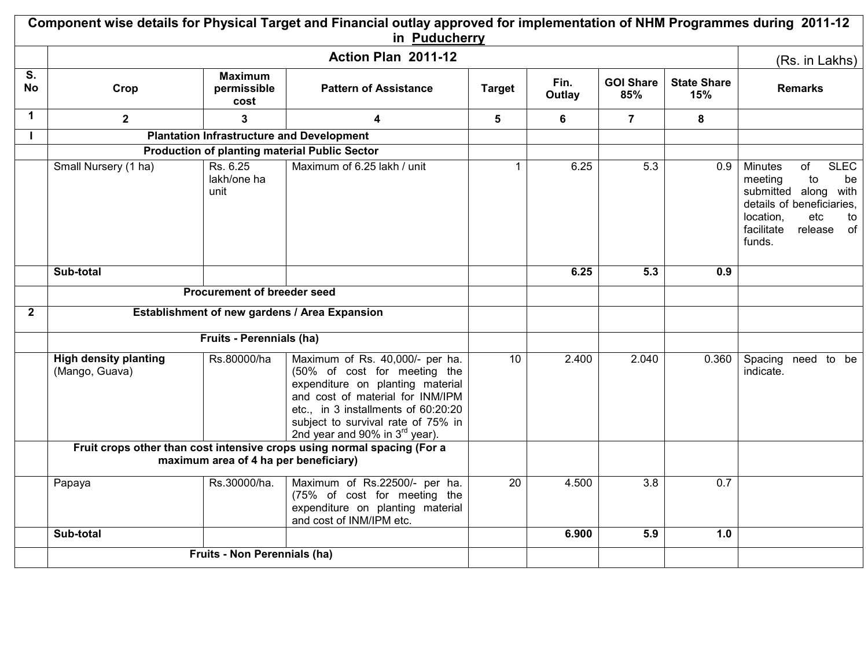|                 |                                                |                                       | Component wise details for Physical Target and Financial outlay approved for implementation of NHM Programmes during 2011-12<br>in Puducherry                                                                                                                      |                 |                |                         |                           |                                                                                                                                                                                 |
|-----------------|------------------------------------------------|---------------------------------------|--------------------------------------------------------------------------------------------------------------------------------------------------------------------------------------------------------------------------------------------------------------------|-----------------|----------------|-------------------------|---------------------------|---------------------------------------------------------------------------------------------------------------------------------------------------------------------------------|
|                 | Action Plan 2011-12                            |                                       |                                                                                                                                                                                                                                                                    |                 |                |                         |                           | (Rs. in Lakhs)                                                                                                                                                                  |
| S.<br><b>No</b> | Crop                                           | <b>Maximum</b><br>permissible<br>cost | <b>Pattern of Assistance</b>                                                                                                                                                                                                                                       | <b>Target</b>   | Fin.<br>Outlay | <b>GOI Share</b><br>85% | <b>State Share</b><br>15% | <b>Remarks</b>                                                                                                                                                                  |
| $\mathbf 1$     | $\mathbf{2}$                                   | 3                                     | 4                                                                                                                                                                                                                                                                  | 5               | 6              | $\overline{7}$          | 8                         |                                                                                                                                                                                 |
|                 |                                                |                                       | <b>Plantation Infrastructure and Development</b>                                                                                                                                                                                                                   |                 |                |                         |                           |                                                                                                                                                                                 |
|                 |                                                |                                       | <b>Production of planting material Public Sector</b>                                                                                                                                                                                                               |                 |                |                         |                           |                                                                                                                                                                                 |
|                 | Small Nursery (1 ha)                           | Rs. 6.25<br>lakh/one ha<br>unit       | Maximum of 6.25 lakh / unit                                                                                                                                                                                                                                        | $\mathbf 1$     | 6.25           | 5.3                     | 0.9                       | <b>Minutes</b><br><b>SLEC</b><br>of<br>meeting<br>to<br>be<br>submitted along with<br>details of beneficiaries,<br>location,<br>etc<br>to<br>facilitate<br>release of<br>funds. |
|                 | Sub-total                                      |                                       |                                                                                                                                                                                                                                                                    |                 | 6.25           | 5.3                     | 0.9                       |                                                                                                                                                                                 |
|                 | Procurement of breeder seed                    |                                       |                                                                                                                                                                                                                                                                    |                 |                |                         |                           |                                                                                                                                                                                 |
| $\mathbf{2}$    | Establishment of new gardens / Area Expansion  |                                       |                                                                                                                                                                                                                                                                    |                 |                |                         |                           |                                                                                                                                                                                 |
|                 | Fruits - Perennials (ha)                       |                                       |                                                                                                                                                                                                                                                                    |                 |                |                         |                           |                                                                                                                                                                                 |
|                 | <b>High density planting</b><br>(Mango, Guava) | Rs.80000/ha                           | Maximum of Rs. 40,000/- per ha.<br>(50% of cost for meeting the<br>expenditure on planting material<br>and cost of material for INM/IPM<br>etc., in 3 installments of 60:20:20<br>subject to survival rate of 75% in<br>2nd year and 90% in 3 <sup>rd</sup> year). | 10              | 2.400          | 2.040                   | 0.360                     | Spacing need to be<br>indicate.                                                                                                                                                 |
|                 |                                                | maximum area of 4 ha per beneficiary) | Fruit crops other than cost intensive crops using normal spacing (For a                                                                                                                                                                                            |                 |                |                         |                           |                                                                                                                                                                                 |
|                 |                                                |                                       |                                                                                                                                                                                                                                                                    |                 |                |                         |                           |                                                                                                                                                                                 |
|                 | Papaya                                         | Rs.30000/ha.                          | Maximum of Rs.22500/- per ha.<br>(75% of cost for meeting the<br>expenditure on planting material<br>and cost of INM/IPM etc.                                                                                                                                      | $\overline{20}$ | 4.500          | $\overline{3.8}$        | 0.7                       |                                                                                                                                                                                 |
|                 | Sub-total                                      |                                       |                                                                                                                                                                                                                                                                    |                 | 6.900          | 5.9                     | 1.0                       |                                                                                                                                                                                 |
|                 |                                                | Fruits - Non Perennials (ha)          |                                                                                                                                                                                                                                                                    |                 |                |                         |                           |                                                                                                                                                                                 |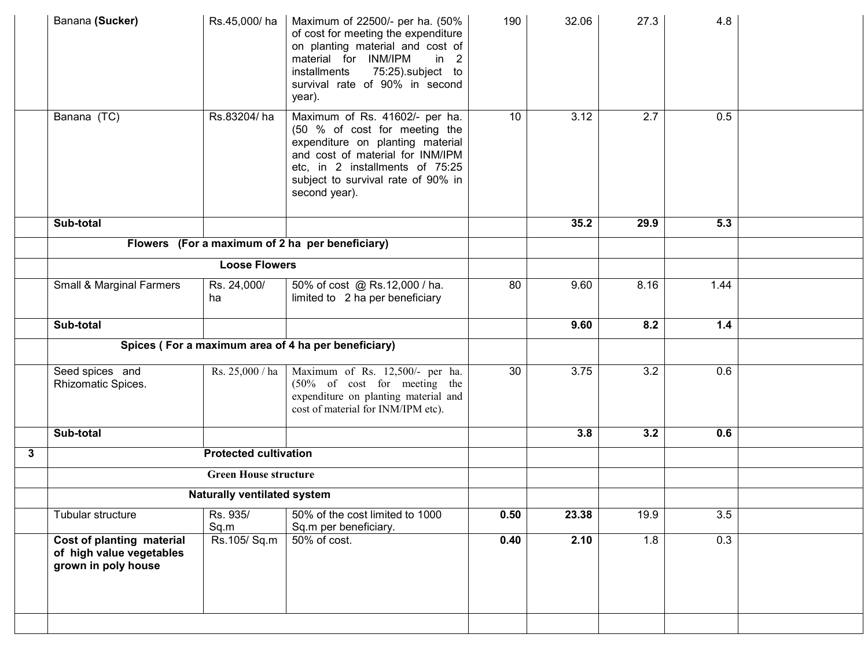|   | Banana (Sucker)                                                              | Rs.45,000/ha                       | Maximum of 22500/- per ha. (50%<br>of cost for meeting the expenditure<br>on planting material and cost of<br>material for INM/IPM<br>in<br>2<br>75:25).subject to<br>installments<br>survival rate of 90% in second<br>year).    | 190  | 32.06 | 27.3 | 4.8   |  |
|---|------------------------------------------------------------------------------|------------------------------------|-----------------------------------------------------------------------------------------------------------------------------------------------------------------------------------------------------------------------------------|------|-------|------|-------|--|
|   | Banana (TC)                                                                  | Rs.83204/ha                        | Maximum of Rs. 41602/- per ha.<br>(50 % of cost for meeting the<br>expenditure on planting material<br>and cost of material for INM/IPM<br>etc, in 2 installments of 75:25<br>subject to survival rate of 90% in<br>second year). | 10   | 3.12  | 2.7  | 0.5   |  |
|   | Sub-total                                                                    |                                    |                                                                                                                                                                                                                                   |      | 35.2  | 29.9 | 5.3   |  |
|   |                                                                              |                                    | Flowers (For a maximum of 2 ha per beneficiary)                                                                                                                                                                                   |      |       |      |       |  |
|   |                                                                              | <b>Loose Flowers</b>               |                                                                                                                                                                                                                                   |      |       |      |       |  |
|   | Small & Marginal Farmers                                                     | Rs. 24,000/<br>ha                  | 50% of cost @ Rs.12,000 / ha.<br>limited to 2 ha per beneficiary                                                                                                                                                                  | 80   | 9.60  | 8.16 | 1.44  |  |
|   | Sub-total                                                                    |                                    |                                                                                                                                                                                                                                   |      | 9.60  | 8.2  | $1.4$ |  |
|   | Spices (For a maximum area of 4 ha per beneficiary)                          |                                    |                                                                                                                                                                                                                                   |      |       |      |       |  |
|   | Seed spices and<br>Rhizomatic Spices.                                        | Rs. 25,000 / ha                    | Maximum of Rs. 12,500/- per ha.<br>(50% of cost for meeting the<br>expenditure on planting material and<br>cost of material for INM/IPM etc).                                                                                     | 30   | 3.75  | 3.2  | 0.6   |  |
|   | Sub-total                                                                    |                                    |                                                                                                                                                                                                                                   |      | 3.8   | 3.2  | 0.6   |  |
| 3 |                                                                              | <b>Protected cultivation</b>       |                                                                                                                                                                                                                                   |      |       |      |       |  |
|   |                                                                              | <b>Green House structure</b>       |                                                                                                                                                                                                                                   |      |       |      |       |  |
|   |                                                                              | <b>Naturally ventilated system</b> |                                                                                                                                                                                                                                   |      |       |      |       |  |
|   | Tubular structure                                                            | Rs. 935/<br>Sq.m                   | 50% of the cost limited to 1000<br>Sq.m per beneficiary.                                                                                                                                                                          | 0.50 | 23.38 | 19.9 | 3.5   |  |
|   | Cost of planting material<br>of high value vegetables<br>grown in poly house | Rs.105/Sq.m                        | 50% of cost.                                                                                                                                                                                                                      | 0.40 | 2.10  | 1.8  | 0.3   |  |
|   |                                                                              |                                    |                                                                                                                                                                                                                                   |      |       |      |       |  |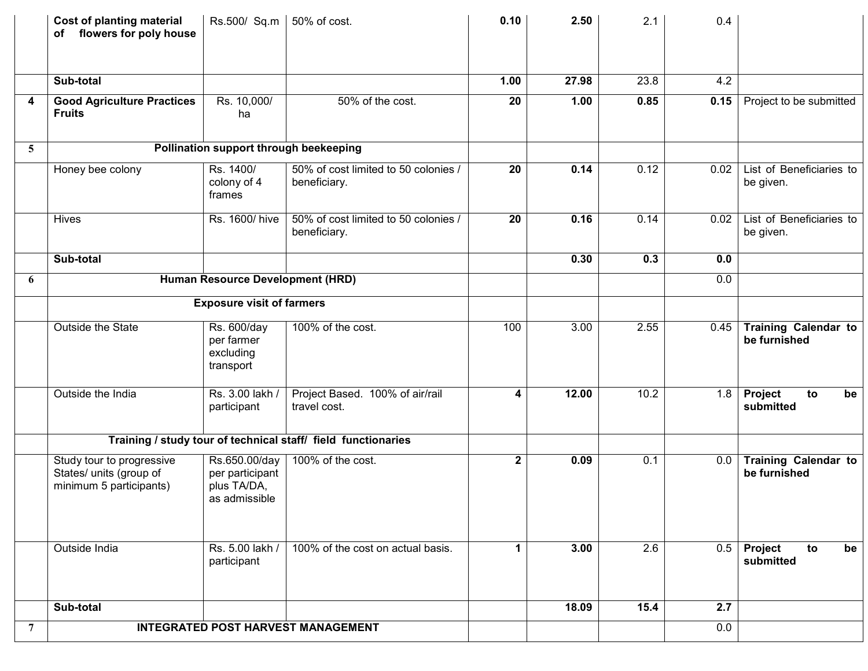|                | <b>Cost of planting material</b><br>of flowers for poly house                   | Rs.500/ Sq.m   50% of cost.                                      |                                                               | 0.10        | 2.50  | 2.1  | 0.4  |                                             |
|----------------|---------------------------------------------------------------------------------|------------------------------------------------------------------|---------------------------------------------------------------|-------------|-------|------|------|---------------------------------------------|
|                | Sub-total                                                                       |                                                                  |                                                               | 1.00        | 27.98 | 23.8 | 4.2  |                                             |
| 4              | <b>Good Agriculture Practices</b><br><b>Fruits</b>                              | Rs. 10,000/<br>ha                                                | 50% of the cost.                                              | 20          | 1.00  | 0.85 | 0.15 | Project to be submitted                     |
| 5              |                                                                                 | Pollination support through beekeeping                           |                                                               |             |       |      |      |                                             |
|                | Honey bee colony                                                                | Rs. 1400/<br>colony of 4<br>frames                               | 50% of cost limited to 50 colonies /<br>beneficiary.          | 20          | 0.14  | 0.12 | 0.02 | List of Beneficiaries to<br>be given.       |
|                | Hives                                                                           | Rs. 1600/hive                                                    | 50% of cost limited to 50 colonies /<br>beneficiary.          | 20          | 0.16  | 0.14 | 0.02 | List of Beneficiaries to<br>be given.       |
|                | Sub-total                                                                       |                                                                  |                                                               |             | 0.30  | 0.3  | 0.0  |                                             |
| 6              |                                                                                 | Human Resource Development (HRD)                                 |                                                               |             |       |      | 0.0  |                                             |
|                |                                                                                 | <b>Exposure visit of farmers</b>                                 |                                                               |             |       |      |      |                                             |
|                | Outside the State                                                               | Rs. 600/day<br>per farmer<br>excluding<br>transport              | 100% of the cost.                                             | 100         | 3.00  | 2.55 | 0.45 | <b>Training Calendar to</b><br>be furnished |
|                | Outside the India                                                               | Rs. 3.00 lakh /<br>participant                                   | Project Based. 100% of air/rail<br>travel cost.               | 4           | 12.00 | 10.2 | 1.8  | Project<br>to<br>be<br>submitted            |
|                |                                                                                 |                                                                  | Training / study tour of technical staff/ field functionaries |             |       |      |      |                                             |
|                | Study tour to progressive<br>States/ units (group of<br>minimum 5 participants) | Rs.650.00/day<br>per participant<br>plus TA/DA,<br>as admissible | 100% of the cost.                                             | $\mathbf 2$ | 0.09  | 0.1  | 0.0  | <b>Training Calendar to</b><br>be furnished |
|                | Outside India                                                                   | Rs. 5.00 lakh /<br>participant                                   | 100% of the cost on actual basis.                             | 1           | 3.00  | 2.6  | 0.5  | Project<br>to<br>be<br>submitted            |
|                | Sub-total                                                                       |                                                                  |                                                               |             | 18.09 | 15.4 | 2.7  |                                             |
| $\overline{7}$ |                                                                                 |                                                                  | <b>INTEGRATED POST HARVEST MANAGEMENT</b>                     |             |       |      | 0.0  |                                             |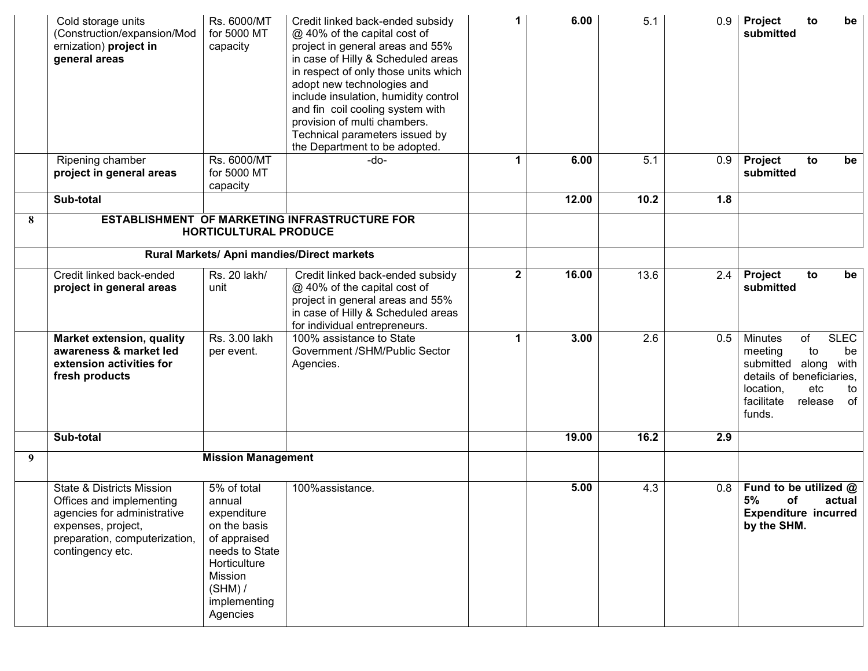|   | Cold storage units<br>(Construction/expansion/Mod<br>ernization) project in<br>general areas                                                                               | Rs. 6000/MT<br>for 5000 MT<br>capacity                                                                                                                     | Credit linked back-ended subsidy<br>@ 40% of the capital cost of<br>project in general areas and 55%<br>in case of Hilly & Scheduled areas<br>in respect of only those units which<br>adopt new technologies and<br>include insulation, humidity control<br>and fin coil cooling system with<br>provision of multi chambers.<br>Technical parameters issued by<br>the Department to be adopted. | 1            | 6.00  | 5.1  | 0.9 | Project<br>to<br>be<br>submitted                                                                                                                                                      |
|---|----------------------------------------------------------------------------------------------------------------------------------------------------------------------------|------------------------------------------------------------------------------------------------------------------------------------------------------------|-------------------------------------------------------------------------------------------------------------------------------------------------------------------------------------------------------------------------------------------------------------------------------------------------------------------------------------------------------------------------------------------------|--------------|-------|------|-----|---------------------------------------------------------------------------------------------------------------------------------------------------------------------------------------|
|   | Ripening chamber<br>project in general areas                                                                                                                               | Rs. 6000/MT<br>for 5000 MT<br>capacity                                                                                                                     | -do-                                                                                                                                                                                                                                                                                                                                                                                            | 1            | 6.00  | 5.1  | 0.9 | Project<br>to<br>be<br>submitted                                                                                                                                                      |
|   | Sub-total                                                                                                                                                                  |                                                                                                                                                            |                                                                                                                                                                                                                                                                                                                                                                                                 |              | 12.00 | 10.2 | 1.8 |                                                                                                                                                                                       |
| 8 |                                                                                                                                                                            |                                                                                                                                                            | ESTABLISHMENT OF MARKETING INFRASTRUCTURE FOR                                                                                                                                                                                                                                                                                                                                                   |              |       |      |     |                                                                                                                                                                                       |
|   |                                                                                                                                                                            | <b>HORTICULTURAL PRODUCE</b>                                                                                                                               |                                                                                                                                                                                                                                                                                                                                                                                                 |              |       |      |     |                                                                                                                                                                                       |
|   | Rural Markets/ Apni mandies/Direct markets                                                                                                                                 |                                                                                                                                                            |                                                                                                                                                                                                                                                                                                                                                                                                 |              |       |      |     |                                                                                                                                                                                       |
|   | Credit linked back-ended<br>project in general areas                                                                                                                       | Rs. 20 lakh/<br>unit                                                                                                                                       | Credit linked back-ended subsidy<br>@ 40% of the capital cost of<br>project in general areas and 55%<br>in case of Hilly & Scheduled areas<br>for individual entrepreneurs.                                                                                                                                                                                                                     | $\mathbf{2}$ | 16.00 | 13.6 | 2.4 | Project<br>to<br>be<br>submitted                                                                                                                                                      |
|   | <b>Market extension, quality</b><br>awareness & market led<br>extension activities for<br>fresh products                                                                   | Rs. 3.00 lakh<br>per event.                                                                                                                                | 100% assistance to State<br>Government /SHM/Public Sector<br>Agencies.                                                                                                                                                                                                                                                                                                                          | 1            | 3.00  | 2.6  | 0.5 | <b>SLEC</b><br><b>Minutes</b><br>of<br>meeting<br>to<br>be<br>submitted along<br>with<br>details of beneficiaries,<br>location,<br>etc<br>to<br>facilitate<br>release<br>of<br>funds. |
|   | Sub-total                                                                                                                                                                  |                                                                                                                                                            |                                                                                                                                                                                                                                                                                                                                                                                                 |              | 19.00 | 16.2 | 2.9 |                                                                                                                                                                                       |
| 9 |                                                                                                                                                                            | <b>Mission Management</b>                                                                                                                                  |                                                                                                                                                                                                                                                                                                                                                                                                 |              |       |      |     |                                                                                                                                                                                       |
|   | <b>State &amp; Districts Mission</b><br>Offices and implementing<br>agencies for administrative<br>expenses, project,<br>preparation, computerization,<br>contingency etc. | 5% of total<br>annual<br>expenditure<br>on the basis<br>of appraised<br>needs to State<br>Horticulture<br>Mission<br>$(SHM)$ /<br>implementing<br>Agencies | 100%assistance.                                                                                                                                                                                                                                                                                                                                                                                 |              | 5.00  | 4.3  | 0.8 | Fund to be utilized @<br>5%<br><b>of</b><br>actual<br><b>Expenditure incurred</b><br>by the SHM.                                                                                      |